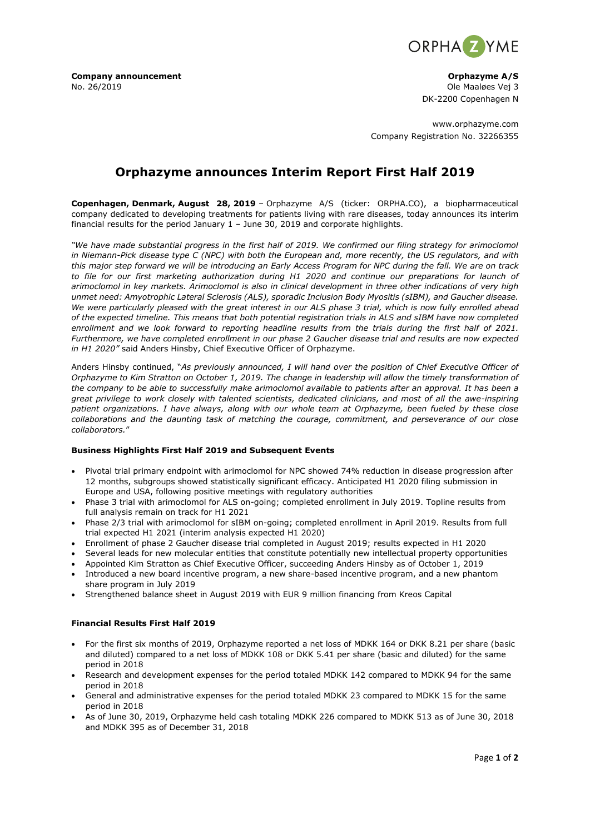

**Company announcement Company announcement Company announcement Company announcement Company announcement** No. 26/2019 Ole Maaløes Vej 3

DK-2200 Copenhagen N

www.orphazyme.com Company Registration No. 32266355

# **Orphazyme announces Interim Report First Half 2019**

**Copenhagen, Denmark, August 28, 2019** – Orphazyme A/S (ticker: ORPHA.CO), a biopharmaceutical company dedicated to developing treatments for patients living with rare diseases, today announces its interim financial results for the period January  $1 -$  June 30, 2019 and corporate highlights.

*"We have made substantial progress in the first half of 2019. We confirmed our filing strategy for arimoclomol in Niemann-Pick disease type C (NPC) with both the European and, more recently, the US regulators, and with this major step forward we will be introducing an Early Access Program for NPC during the fall. We are on track to file for our first marketing authorization during H1 2020 and continue our preparations for launch of arimoclomol in key markets. Arimoclomol is also in clinical development in three other indications of very high unmet need: Amyotrophic Lateral Sclerosis (ALS), sporadic Inclusion Body Myositis (sIBM), and Gaucher disease. We were particularly pleased with the great interest in our ALS phase 3 trial, which is now fully enrolled ahead of the expected timeline. This means that both potential registration trials in ALS and sIBM have now completed enrollment and we look forward to reporting headline results from the trials during the first half of 2021. Furthermore, we have completed enrollment in our phase 2 Gaucher disease trial and results are now expected in H1 2020"* said Anders Hinsby, Chief Executive Officer of Orphazyme.

Anders Hinsby continued, "*As previously announced, I will hand over the position of Chief Executive Officer of Orphazyme to Kim Stratton on October 1, 2019. The change in leadership will allow the timely transformation of the company to be able to successfully make arimoclomol available to patients after an approval. It has been a great privilege to work closely with talented scientists, dedicated clinicians, and most of all the awe-inspiring patient organizations. I have always, along with our whole team at Orphazyme, been fueled by these close collaborations and the daunting task of matching the courage, commitment, and perseverance of our close collaborators.*"

## **Business Highlights First Half 2019 and Subsequent Events**

- Pivotal trial primary endpoint with arimoclomol for NPC showed 74% reduction in disease progression after 12 months, subgroups showed statistically significant efficacy. Anticipated H1 2020 filing submission in Europe and USA, following positive meetings with regulatory authorities
- Phase 3 trial with arimoclomol for ALS on-going; completed enrollment in July 2019. Topline results from full analysis remain on track for H1 2021
- Phase 2/3 trial with arimoclomol for sIBM on-going; completed enrollment in April 2019. Results from full trial expected H1 2021 (interim analysis expected H1 2020)
- Enrollment of phase 2 Gaucher disease trial completed in August 2019; results expected in H1 2020
- Several leads for new molecular entities that constitute potentially new intellectual property opportunities
- Appointed Kim Stratton as Chief Executive Officer, succeeding Anders Hinsby as of October 1, 2019
- Introduced a new board incentive program, a new share-based incentive program, and a new phantom share program in July 2019
- Strengthened balance sheet in August 2019 with EUR 9 million financing from Kreos Capital

# **Financial Results First Half 2019**

- For the first six months of 2019, Orphazyme reported a net loss of MDKK 164 or DKK 8.21 per share (basic and diluted) compared to a net loss of MDKK 108 or DKK 5.41 per share (basic and diluted) for the same period in 2018
- Research and development expenses for the period totaled MDKK 142 compared to MDKK 94 for the same period in 2018
- General and administrative expenses for the period totaled MDKK 23 compared to MDKK 15 for the same period in 2018
- As of June 30, 2019, Orphazyme held cash totaling MDKK 226 compared to MDKK 513 as of June 30, 2018 and MDKK 395 as of December 31, 2018